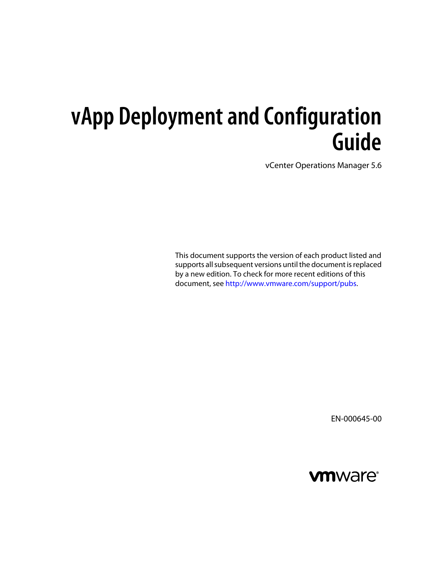## **vApp Deployment and Configuration Guide**

vCenter Operations Manager 5.6

This document supports the version of each product listed and supports all subsequent versions until the document is replaced by a new edition. To check for more recent editions of this document, see [http://www.vmware.com/support/pubs.](http://www.vmware.com/support/pubs)

EN-000645-00

## **vm**ware<sup>®</sup>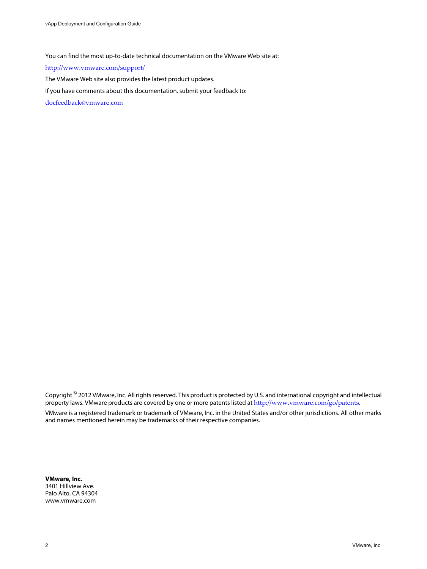You can find the most up-to-date technical documentation on the VMware Web site at:

<http://www.vmware.com/support/>

The VMware Web site also provides the latest product updates.

If you have comments about this documentation, submit your feedback to:

[docfeedback@vmware.com](mailto:docfeedback@vmware.com)

Copyright  $^\circ$  2012 VMware, Inc. All rights reserved. This product is protected by U.S. and international copyright and intellectual property laws. VMware products are covered by one or more patents listed at <http://www.vmware.com/go/patents>. VMware is a registered trademark or trademark of VMware, Inc. in the United States and/or other jurisdictions. All other marks and names mentioned herein may be trademarks of their respective companies.

**VMware, Inc.** 3401 Hillview Ave. Palo Alto, CA 94304 www.vmware.com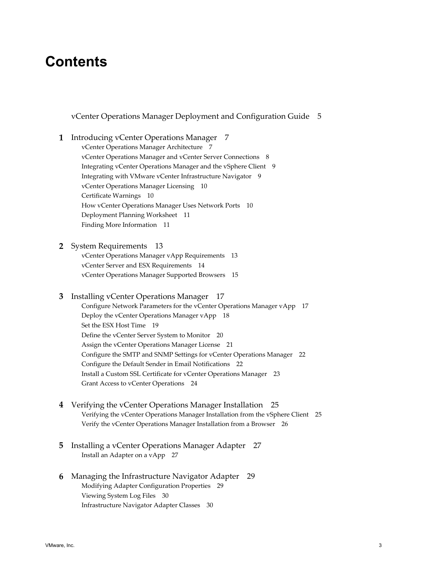## **Contents**

[vCenter Operations Manager Deployment and Configuration Guide 5](#page-4-0)

| 1            | Introducing vCenter Operations Manager<br>7<br>vCenter Operations Manager Architecture 7<br>vCenter Operations Manager and vCenter Server Connections 8<br>Integrating vCenter Operations Manager and the vSphere Client 9<br>Integrating with VMware vCenter Infrastructure Navigator 9<br>vCenter Operations Manager Licensing 10<br>Certificate Warnings 10<br>How vCenter Operations Manager Uses Network Ports<br>10<br>Deployment Planning Worksheet 11                                                                                                           |
|--------------|-------------------------------------------------------------------------------------------------------------------------------------------------------------------------------------------------------------------------------------------------------------------------------------------------------------------------------------------------------------------------------------------------------------------------------------------------------------------------------------------------------------------------------------------------------------------------|
|              | Finding More Information 11                                                                                                                                                                                                                                                                                                                                                                                                                                                                                                                                             |
| $\mathbf{2}$ | <b>System Requirements</b><br>13<br>vCenter Operations Manager vApp Requirements<br>13<br>vCenter Server and ESX Requirements 14<br>vCenter Operations Manager Supported Browsers<br>15                                                                                                                                                                                                                                                                                                                                                                                 |
| 3            | <b>Installing vCenter Operations Manager</b><br>-17<br>Configure Network Parameters for the vCenter Operations Manager vApp 17<br>Deploy the vCenter Operations Manager vApp 18<br>Set the ESX Host Time 19<br>Define the vCenter Server System to Monitor 20<br>Assign the vCenter Operations Manager License 21<br>Configure the SMTP and SNMP Settings for vCenter Operations Manager<br>22<br>Configure the Default Sender in Email Notifications 22<br>Install a Custom SSL Certificate for vCenter Operations Manager 23<br>Grant Access to vCenter Operations 24 |
|              | 4 Verifying the vCenter Operations Manager Installation<br>25<br>Verifying the vCenter Operations Manager Installation from the vSphere Client 25<br>Verify the vCenter Operations Manager Installation from a Browser 26                                                                                                                                                                                                                                                                                                                                               |
| 5            | Installing a vCenter Operations Manager Adapter<br>27<br>Install an Adapter on a vApp<br>27                                                                                                                                                                                                                                                                                                                                                                                                                                                                             |
| 6            | Managing the Infrastructure Navigator Adapter<br>29<br>Modifying Adapter Configuration Properties<br>29<br>Viewing System Log Files 30<br><b>Infrastructure Navigator Adapter Classes</b><br>30                                                                                                                                                                                                                                                                                                                                                                         |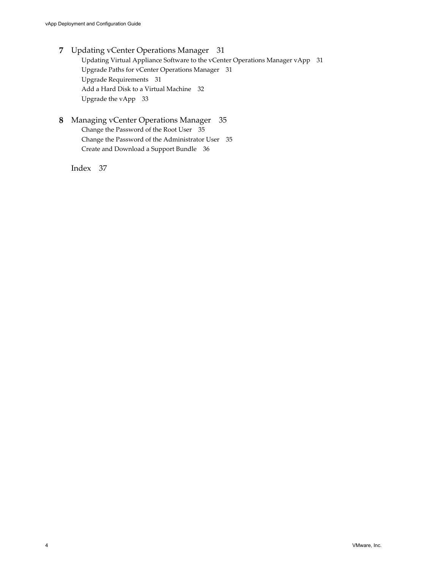- **7** [Updating vCenter Operations Manager 31](#page-30-0) Up[dating Virtual Appliance Software to the vCenter Operations Manager vApp 31](#page-30-0) Up[grade Paths for vCenter Operations Manager 31](#page-30-0) Up[grade Requirements 31](#page-30-0) Ad[d a Hard Disk to a Virtual Machine 32](#page-31-0) Up[grade the vApp 33](#page-32-0)
- **8** [Managing vCenter Operations Manager 35](#page-34-0) Ch[ange the Password of the Root User 35](#page-34-0) Ch[ange the Password of the Administrator User 35](#page-34-0) Cre[ate and Download a Support Bundle 36](#page-35-0)

[Index 37](#page-36-0)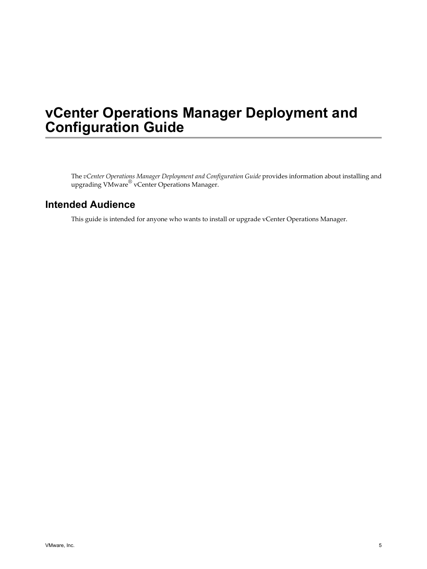## <span id="page-4-0"></span>**vCenter Operations Manager Deployment and Configuration Guide**

The *vCenter Operations Manager Deployment and Configuration Guide* provides information about installing and upgrading VMware® vCenter Operations Manager.

## **Intended Audience**

This guide is intended for anyone who wants to install or upgrade vCenter Operations Manager.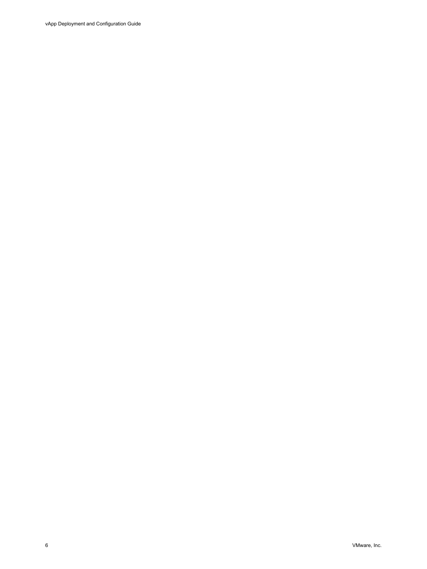vApp Deployment and Configuration Guide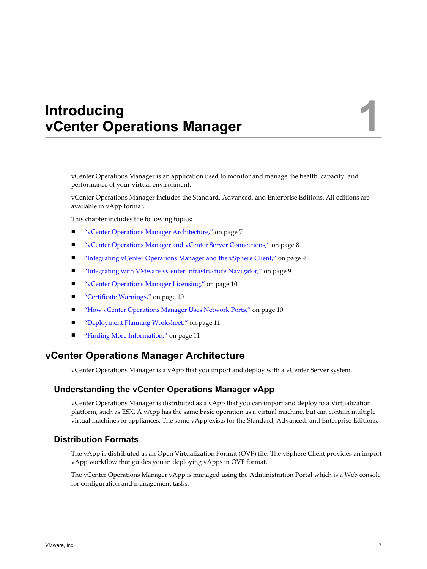## <span id="page-6-0"></span>**Introducing vCenter Operations Manager 1**

vCenter Operations Manager is an application used to monitor and manage the health, capacity, and performance of your virtual environment.

vCenter Operations Manager includes the Standard, Advanced, and Enterprise Editions. All editions are available in vApp format.

This chapter includes the following topics:

- "vCenter Operations Manager Architecture," on page 7
- n ["vCenter Operations Manager and vCenter Server Connections," on page 8](#page-7-0)
- ["Integrating vCenter Operations Manager and the vSphere Client," on page 9](#page-8-0)
- ["Integrating with VMware vCenter Infrastructure Navigator," on page 9](#page-8-0)
- ["vCenter Operations Manager Licensing," on page 10](#page-9-0)
- ["Certificate Warnings," on page 10](#page-9-0)
- ["How vCenter Operations Manager Uses Network Ports," on page 10](#page-9-0)
- ["Deployment Planning Worksheet," on page 11](#page-10-0)
- ["Finding More Information," on page 11](#page-10-0)

## **vCenter Operations Manager Architecture**

vCenter Operations Manager is a vApp that you import and deploy with a vCenter Server system.

#### **Understanding the vCenter Operations Manager vApp**

vCenter Operations Manager is distributed as a vApp that you can import and deploy to a Virtualization platform, such as ESX. A vApp has the same basic operation as a virtual machine, but can contain multiple virtual machines or appliances. The same vApp exists for the Standard, Advanced, and Enterprise Editions.

### **Distribution Formats**

The vApp is distributed as an Open Virtualization Format (OVF) file. The vSphere Client provides an import vApp workflow that guides you in deploying vApps in OVF format.

The vCenter Operations Manager vApp is managed using the Administration Portal which is a Web console for configuration and management tasks.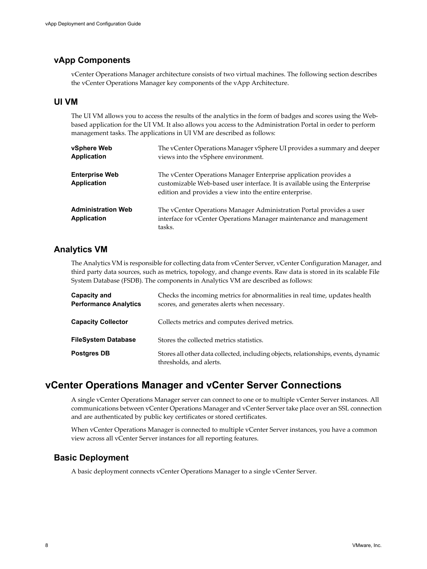## <span id="page-7-0"></span>**vApp Components**

vCenter Operations Manager architecture consists of two virtual machines. The following section describes the vCenter Operations Manager key components of the vApp Architecture.

### **UI VM**

The UI VM allows you to access the results of the analytics in the form of badges and scores using the Webbased application for the UI VM. It also allows you access to the Administration Portal in order to perform management tasks. The applications in UI VM are described as follows:

| vSphere Web<br><b>Application</b>               | The vCenter Operations Manager vSphere UI provides a summary and deeper<br>views into the vSphere environment.                                                                                             |  |  |  |
|-------------------------------------------------|------------------------------------------------------------------------------------------------------------------------------------------------------------------------------------------------------------|--|--|--|
| <b>Enterprise Web</b><br><b>Application</b>     | The vCenter Operations Manager Enterprise application provides a<br>customizable Web-based user interface. It is available using the Enterprise<br>edition and provides a view into the entire enterprise. |  |  |  |
| <b>Administration Web</b><br><b>Application</b> | The vCenter Operations Manager Administration Portal provides a user<br>interface for vCenter Operations Manager maintenance and management<br>tasks.                                                      |  |  |  |

### **Analytics VM**

The Analytics VM is responsible for collecting data from vCenter Server, vCenter Configuration Manager, and third party data sources, such as metrics, topology, and change events. Raw data is stored in its scalable File System Database (FSDB). The components in Analytics VM are described as follows:

| Capacity and<br><b>Performance Analytics</b> | Checks the incoming metrics for abnormalities in real time, updates health<br>scores, and generates alerts when necessary. |
|----------------------------------------------|----------------------------------------------------------------------------------------------------------------------------|
| <b>Capacity Collector</b>                    | Collects metrics and computes derived metrics.                                                                             |
| <b>FileSystem Database</b>                   | Stores the collected metrics statistics.                                                                                   |
| <b>Postgres DB</b>                           | Stores all other data collected, including objects, relationships, events, dynamic<br>thresholds, and alerts.              |

## **vCenter Operations Manager and vCenter Server Connections**

A single vCenter Operations Manager server can connect to one or to multiple vCenter Server instances. All communications between vCenter Operations Manager and vCenter Server take place over an SSL connection and are authenticated by public key certificates or stored certificates.

When vCenter Operations Manager is connected to multiple vCenter Server instances, you have a common view across all vCenter Server instances for all reporting features.

## **Basic Deployment**

A basic deployment connects vCenter Operations Manager to a single vCenter Server.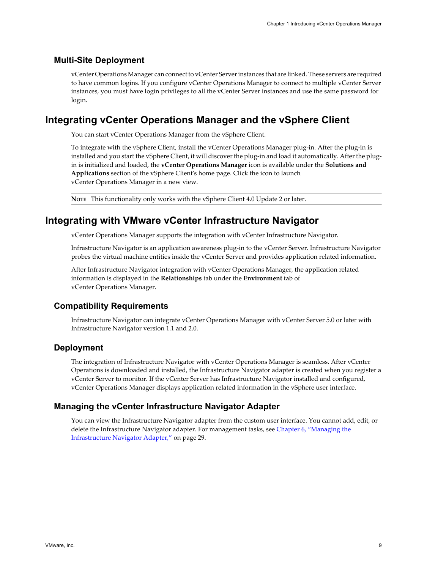#### <span id="page-8-0"></span>**Multi-Site Deployment**

vCenter Operations Manager can connect to vCenter Server instances that are linked. These servers are required to have common logins. If you configure vCenter Operations Manager to connect to multiple vCenter Server instances, you must have login privileges to all the vCenter Server instances and use the same password for login.

## **Integrating vCenter Operations Manager and the vSphere Client**

You can start vCenter Operations Manager from the vSphere Client.

To integrate with the vSphere Client, install the vCenter Operations Manager plug-in. After the plug-in is installed and you start the vSphere Client, it will discover the plug-in and load it automatically. After the plugin is initialized and loaded, the **vCenter Operations Manager** icon is available under the **Solutions and Applications** section of the vSphere Client's home page. Click the icon to launch vCenter Operations Manager in a new view.

**NOTE** This functionality only works with the vSphere Client 4.0 Update 2 or later.

## **Integrating with VMware vCenter Infrastructure Navigator**

vCenter Operations Manager supports the integration with vCenter Infrastructure Navigator.

Infrastructure Navigator is an application awareness plug-in to the vCenter Server. Infrastructure Navigator probes the virtual machine entities inside the vCenter Server and provides application related information.

After Infrastructure Navigator integration with vCenter Operations Manager, the application related information is displayed in the **Relationships** tab under the **Environment** tab of vCenter Operations Manager.

#### **Compatibility Requirements**

Infrastructure Navigator can integrate vCenter Operations Manager with vCenter Server 5.0 or later with Infrastructure Navigator version 1.1 and 2.0.

#### **Deployment**

The integration of Infrastructure Navigator with vCenter Operations Manager is seamless. After vCenter Operations is downloaded and installed, the Infrastructure Navigator adapter is created when you register a vCenter Server to monitor. If the vCenter Server has Infrastructure Navigator installed and configured, vCenter Operations Manager displays application related information in the vSphere user interface.

#### **Managing the vCenter Infrastructure Navigator Adapter**

You can view the Infrastructure Navigator adapter from the custom user interface. You cannot add, edit, or delete the Infrastructure Navigator adapter. For management tasks, see [Chapter 6, "Managing the](#page-28-0) [Infrastructure Navigator Adapter," on page 29](#page-28-0).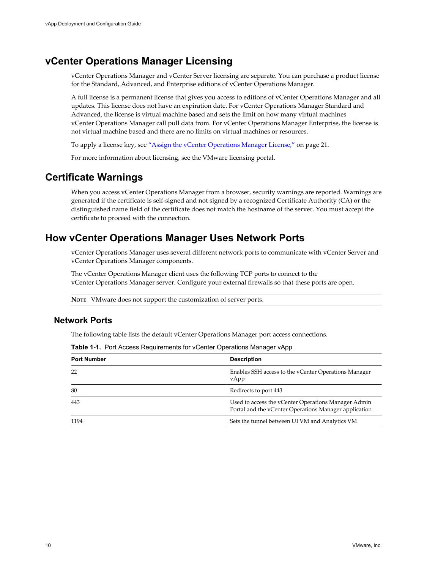## <span id="page-9-0"></span>**vCenter Operations Manager Licensing**

vCenter Operations Manager and vCenter Server licensing are separate. You can purchase a product license for the Standard, Advanced, and Enterprise editions of vCenter Operations Manager.

A full license is a permanent license that gives you access to editions of vCenter Operations Manager and all updates. This license does not have an expiration date. For vCenter Operations Manager Standard and Advanced, the license is virtual machine based and sets the limit on how many virtual machines vCenter Operations Manager call pull data from. For vCenter Operations Manager Enterprise, the license is not virtual machine based and there are no limits on virtual machines or resources.

To apply a license key, see ["Assign the vCenter Operations Manager License," on page 21](#page-20-0).

For more information about licensing, see the VMware licensing portal.

## **Certificate Warnings**

When you access vCenter Operations Manager from a browser, security warnings are reported. Warnings are generated if the certificate is self-signed and not signed by a recognized Certificate Authority (CA) or the distinguished name field of the certificate does not match the hostname of the server. You must accept the certificate to proceed with the connection.

## **How vCenter Operations Manager Uses Network Ports**

vCenter Operations Manager uses several different network ports to communicate with vCenter Server and vCenter Operations Manager components.

The vCenter Operations Manager client uses the following TCP ports to connect to the vCenter Operations Manager server. Configure your external firewalls so that these ports are open.

**NOTE** VMware does not support the customization of server ports.

#### **Network Ports**

The following table lists the default vCenter Operations Manager port access connections.

| <b>Port Number</b> | <b>Description</b>                                                                                           |
|--------------------|--------------------------------------------------------------------------------------------------------------|
| 22                 | Enables SSH access to the vCenter Operations Manager<br>vApp                                                 |
| 80                 | Redirects to port 443                                                                                        |
| 443                | Used to access the vCenter Operations Manager Admin<br>Portal and the vCenter Operations Manager application |
| 1194               | Sets the tunnel between UI VM and Analytics VM                                                               |

**Table 1-1.** Port Access Requirements for vCenter Operations Manager vApp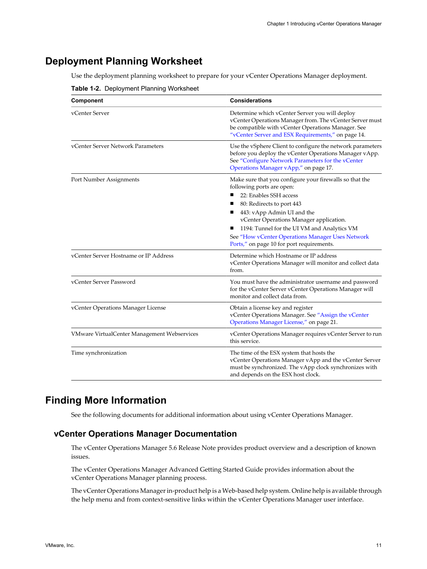## <span id="page-10-0"></span>**Deployment Planning Worksheet**

Use the deployment planning worksheet to prepare for your vCenter Operations Manager deployment.

| Component                                   | <b>Considerations</b>                                                                                                                                                                                                                                                                                                                                                |
|---------------------------------------------|----------------------------------------------------------------------------------------------------------------------------------------------------------------------------------------------------------------------------------------------------------------------------------------------------------------------------------------------------------------------|
| vCenter Server                              | Determine which vCenter Server you will deploy<br>vCenter Operations Manager from. The vCenter Server must<br>be compatible with vCenter Operations Manager. See<br>"vCenter Server and ESX Requirements," on page 14.                                                                                                                                               |
| vCenter Server Network Parameters           | Use the vSphere Client to configure the network parameters<br>before you deploy the vCenter Operations Manager vApp.<br>See "Configure Network Parameters for the vCenter<br>Operations Manager vApp," on page 17.                                                                                                                                                   |
| Port Number Assignments                     | Make sure that you configure your firewalls so that the<br>following ports are open:<br>22: Enables SSH access<br>80: Redirects to port 443<br>443: vApp Admin UI and the<br>vCenter Operations Manager application.<br>1194: Tunnel for the UI VM and Analytics VM<br>See "How vCenter Operations Manager Uses Network<br>Ports," on page 10 for port requirements. |
| vCenter Server Hostname or IP Address       | Determine which Hostname or IP address<br>vCenter Operations Manager will monitor and collect data<br>from.                                                                                                                                                                                                                                                          |
| vCenter Server Password                     | You must have the administrator username and password<br>for the vCenter Server vCenter Operations Manager will<br>monitor and collect data from.                                                                                                                                                                                                                    |
| vCenter Operations Manager License          | Obtain a license key and register<br>vCenter Operations Manager. See "Assign the vCenter<br>Operations Manager License," on page 21.                                                                                                                                                                                                                                 |
| VMware VirtualCenter Management Webservices | vCenter Operations Manager requires vCenter Server to run<br>this service.                                                                                                                                                                                                                                                                                           |
| Time synchronization                        | The time of the ESX system that hosts the<br>vCenter Operations Manager vApp and the vCenter Server<br>must be synchronized. The vApp clock synchronizes with<br>and depends on the ESX host clock.                                                                                                                                                                  |

**Table 1-2.** Deployment Planning Worksheet

## **Finding More Information**

See the following documents for additional information about using vCenter Operations Manager.

### **vCenter Operations Manager Documentation**

The vCenter Operations Manager 5.6 Release Note provides product overview and a description of known issues.

The vCenter Operations Manager Advanced Getting Started Guide provides information about the vCenter Operations Manager planning process.

The vCenter Operations Manager in-product help is a Web-based help system. Online help is available through the help menu and from context-sensitive links within the vCenter Operations Manager user interface.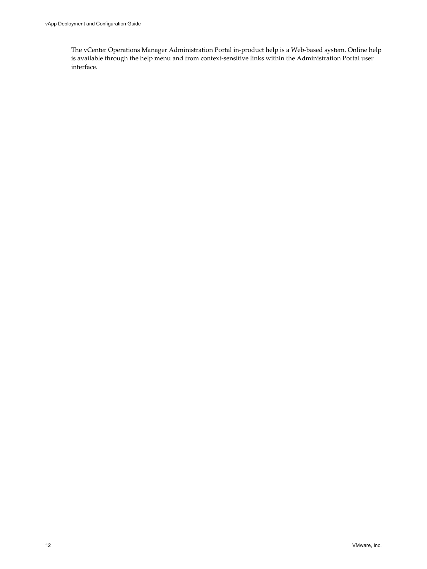The vCenter Operations Manager Administration Portal in-product help is a Web-based system. Online help is available through the help menu and from context-sensitive links within the Administration Portal user interface.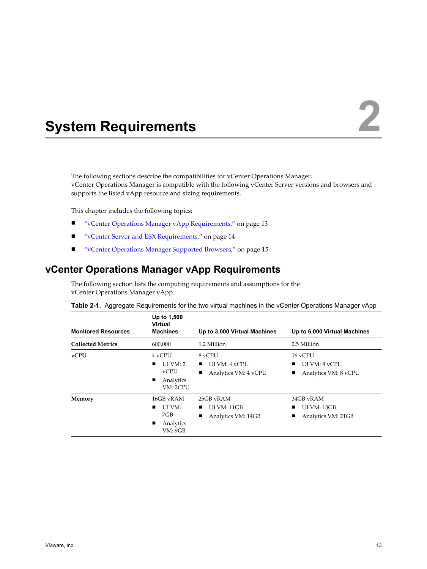# <span id="page-12-0"></span>**System Requirements 2**

The following sections describe the compatibilities for vCenter Operations Manager. vCenter Operations Manager is compatible with the following vCenter Server versions and browsers and supports the listed vApp resource and sizing requirements.

This chapter includes the following topics:

- n "vCenter Operations Manager vApp Requirements," on page 13
- **n** ["vCenter Server and ESX Requirements," on page 14](#page-13-0)
- n ["vCenter Operations Manager Supported Browsers," on page 15](#page-14-0)

## **vCenter Operations Manager vApp Requirements**

The following section lists the computing requirements and assumptions for the vCenter Operations Manager vApp.

|  | Table 2-1. Aggregate Requirements for the two virtual machines in the vCenter Operations Manager vApp |  |  |  |  |
|--|-------------------------------------------------------------------------------------------------------|--|--|--|--|
|  |                                                                                                       |  |  |  |  |

| <b>Monitored Resources</b> | Up to 1,500<br>Virtual<br><b>Machines</b>                     | Up to 3,000 Virtual Machines                                    | Up to 6,000 Virtual Machines                                    |
|----------------------------|---------------------------------------------------------------|-----------------------------------------------------------------|-----------------------------------------------------------------|
| <b>Collected Metrics</b>   | 600,000                                                       | 1.2 Million                                                     | 2.5 Million                                                     |
| $v$ CPU                    | 4 vCPU<br>UIVM:2<br><b>vCPU</b><br>Analytics<br>■<br>VM: 2CPU | 8 vCPU<br>UI VM: 4 vCPU<br>■<br>Analytics VM: 4 vCPU<br>п       | 16 vCPU<br>UI VM: 8 vCPU<br>■<br>Analytics VM: 8 vCPU<br>٠      |
| Memory                     | 16GB vRAM<br>UI VM:<br>7GB<br>Analytics<br>VM: 9GB            | 25GB vRAM<br><b>UI VM: 11GB</b><br>■<br>Analytics VM: 14GB<br>п | 34GB vRAM<br><b>UI VM: 13GB</b><br>п<br>Analytics VM: 21GB<br>■ |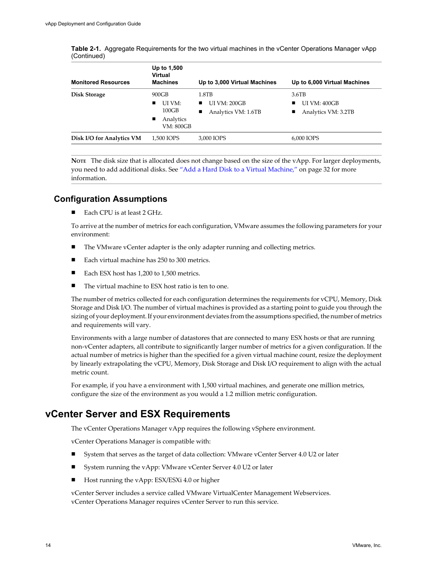| <b>Monitored Resources</b> | Up to 1,500<br><b>Virtual</b><br><b>Machines</b>                  | Up to 3,000 Virtual Machines                             | Up to 6,000 Virtual Machines                           |
|----------------------------|-------------------------------------------------------------------|----------------------------------------------------------|--------------------------------------------------------|
| <b>Disk Storage</b>        | $900$ GB<br><b>UI VM:</b><br>100GB<br>Analytics<br>٠<br>VM: 800GB | 1.8TB<br><b>UI VM: 200GB</b><br>Analytics VM: 1.6TB<br>п | 3.6TB<br>UI VM: 400GB<br>■<br>Analytics VM: 3.2TB<br>■ |
| Disk I/O for Analytics VM  | 1,500 IOPS                                                        | 3,000 IOPS                                               | 6,000 IOPS                                             |

<span id="page-13-0"></span>**Table 2-1.** Aggregate Requirements for the two virtual machines in the vCenter Operations Manager vApp (Continued)

**NOTE** The disk size that is allocated does not change based on the size of the vApp. For larger deployments, you need to add additional disks. See ["Add a Hard Disk to a Virtual Machine," on page 32](#page-31-0) for more information.

#### **Configuration Assumptions**

Each CPU is at least 2 GHz.

To arrive at the number of metrics for each configuration, VMware assumes the following parameters for your environment:

- The VMware vCenter adapter is the only adapter running and collecting metrics.
- Each virtual machine has 250 to 300 metrics.
- Each ESX host has 1,200 to 1,500 metrics.
- The virtual machine to ESX host ratio is ten to one.

The number of metrics collected for each configuration determines the requirements for vCPU, Memory, Disk Storage and Disk I/O. The number of virtual machines is provided as a starting point to guide you through the sizing of your deployment. If your environment deviates from the assumptions specified, the number of metrics and requirements will vary.

Environments with a large number of datastores that are connected to many ESX hosts or that are running non-vCenter adapters, all contribute to significantly larger number of metrics for a given configuration. If the actual number of metrics is higher than the specified for a given virtual machine count, resize the deployment by linearly extrapolating the vCPU, Memory, Disk Storage and Disk I/O requirement to align with the actual metric count.

For example, if you have a environment with 1,500 virtual machines, and generate one million metrics, configure the size of the environment as you would a 1.2 million metric configuration.

## **vCenter Server and ESX Requirements**

The vCenter Operations Manager vApp requires the following vSphere environment.

vCenter Operations Manager is compatible with:

- System that serves as the target of data collection: VMware vCenter Server 4.0 U2 or later
- System running the vApp: VMware vCenter Server 4.0 U2 or later
- Host running the vApp: ESX/ESXi 4.0 or higher

vCenter Server includes a service called VMware VirtualCenter Management Webservices. vCenter Operations Manager requires vCenter Server to run this service.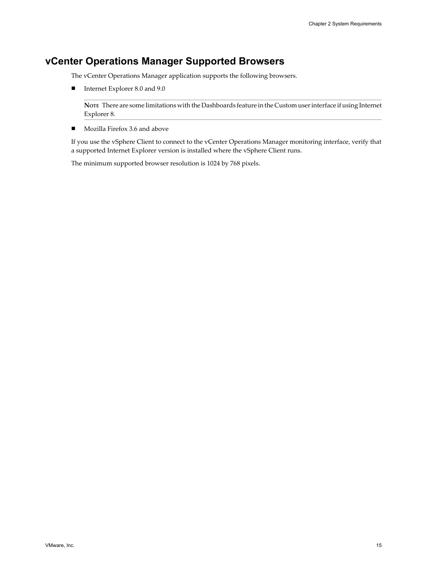## <span id="page-14-0"></span>**vCenter Operations Manager Supported Browsers**

The vCenter Operations Manager application supports the following browsers.

■ Internet Explorer 8.0 and 9.0

**NOTE** There are some limitations with the Dashboards feature in the Custom user interface if using Internet Explorer 8.

 $\blacksquare$  Mozilla Firefox 3.6 and above

If you use the vSphere Client to connect to the vCenter Operations Manager monitoring interface, verify that a supported Internet Explorer version is installed where the vSphere Client runs.

The minimum supported browser resolution is 1024 by 768 pixels.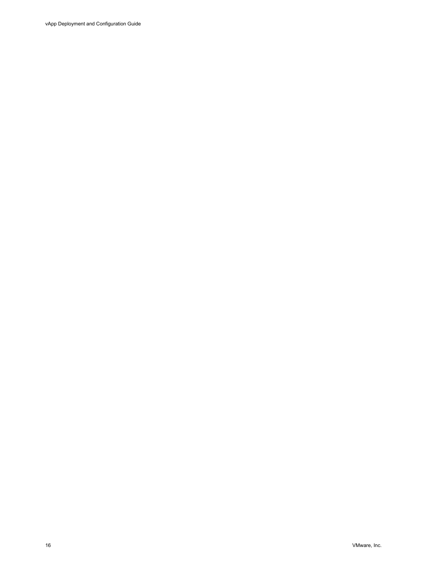vApp Deployment and Configuration Guide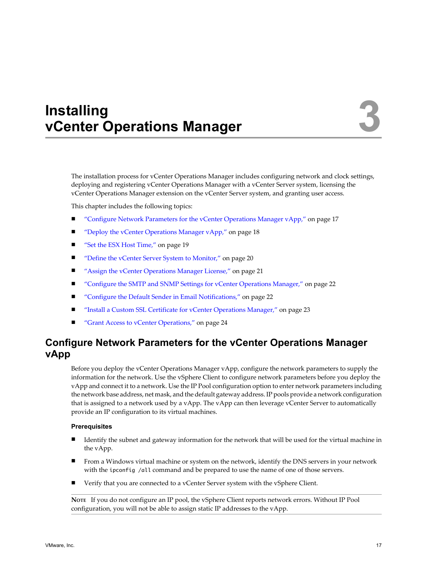## <span id="page-16-0"></span>**Installing vCenter Operations Manager 3**

The installation process for vCenter Operations Manager includes configuring network and clock settings, deploying and registering vCenter Operations Manager with a vCenter Server system, licensing the vCenter Operations Manager extension on the vCenter Server system, and granting user access.

This chapter includes the following topics:

- n "Configure Network Parameters for the vCenter Operations Manager vApp," on page 17
- ["Deploy the vCenter Operations Manager vApp," on page 18](#page-17-0)
- ["Set the ESX Host Time," on page 19](#page-18-0)
- n ["Define the vCenter Server System to Monitor," on page 20](#page-19-0)
- ["Assign the vCenter Operations Manager License," on page 21](#page-20-0)
- **n** ["Configure the SMTP and SNMP Settings for vCenter Operations Manager," on page 22](#page-21-0)
- n ["Configure the Default Sender in Email Notifications," on page 22](#page-21-0)
- ["Install a Custom SSL Certificate for vCenter Operations Manager," on page 23](#page-22-0)
- ["Grant Access to vCenter Operations," on page 24](#page-23-0)

## **Configure Network Parameters for the vCenter Operations Manager vApp**

Before you deploy the vCenter Operations Manager vApp, configure the network parameters to supply the information for the network. Use the vSphere Client to configure network parameters before you deploy the vApp and connect it to a network. Use the IP Pool configuration option to enter network parameters including the network base address, net mask, and the default gateway address. IP pools provide a network configuration that is assigned to a network used by a vApp. The vApp can then leverage vCenter Server to automatically provide an IP configuration to its virtual machines.

#### **Prerequisites**

- Identify the subnet and gateway information for the network that will be used for the virtual machine in the vApp.
- From a Windows virtual machine or system on the network, identify the DNS servers in your network with the ipconfig /all command and be prepared to use the name of one of those servers.
- Verify that you are connected to a vCenter Server system with the vSphere Client.

**NOTE** If you do not configure an IP pool, the vSphere Client reports network errors. Without IP Pool configuration, you will not be able to assign static IP addresses to the vApp.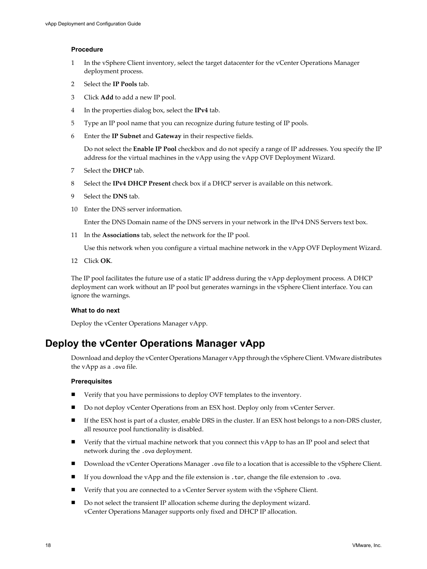#### <span id="page-17-0"></span>**Procedure**

- 1 In the vSphere Client inventory, select the target datacenter for the vCenter Operations Manager deployment process.
- 2 Select the **IP Pools** tab.
- 3 Click **Add** to add a new IP pool.
- 4 In the properties dialog box, select the **IPv4** tab.
- 5 Type an IP pool name that you can recognize during future testing of IP pools.
- 6 Enter the **IP Subnet** and **Gateway** in their respective fields.

Do not select the **Enable IP Pool** checkbox and do not specify a range of IP addresses. You specify the IP address for the virtual machines in the vApp using the vApp OVF Deployment Wizard.

- 7 Select the **DHCP** tab.
- 8 Select the **IPv4 DHCP Present** check box if a DHCP server is available on this network.
- 9 Select the **DNS** tab.
- 10 Enter the DNS server information.

Enter the DNS Domain name of the DNS servers in your network in the IPv4 DNS Servers text box.

11 In the **Associations** tab, select the network for the IP pool.

Use this network when you configure a virtual machine network in the vApp OVF Deployment Wizard.

12 Click **OK**.

The IP pool facilitates the future use of a static IP address during the vApp deployment process. A DHCP deployment can work without an IP pool but generates warnings in the vSphere Client interface. You can ignore the warnings.

#### **What to do next**

Deploy the vCenter Operations Manager vApp.

## **Deploy the vCenter Operations Manager vApp**

Download and deploy the vCenter Operations Manager vApp through the vSphere Client. VMware distributes the vApp as a .ova file.

#### **Prerequisites**

- Verify that you have permissions to deploy OVF templates to the inventory.
- Do not deploy vCenter Operations from an ESX host. Deploy only from vCenter Server.
- If the ESX host is part of a cluster, enable DRS in the cluster. If an ESX host belongs to a non-DRS cluster, all resource pool functionality is disabled.
- n Verify that the virtual machine network that you connect this vApp to has an IP pool and select that network during the .ova deployment.
- Download the vCenter Operations Manager . ova file to a location that is accessible to the vSphere Client.
- If you download the vApp and the file extension is .tar, change the file extension to .ova.
- Verify that you are connected to a vCenter Server system with the vSphere Client.
- Do not select the transient IP allocation scheme during the deployment wizard. vCenter Operations Manager supports only fixed and DHCP IP allocation.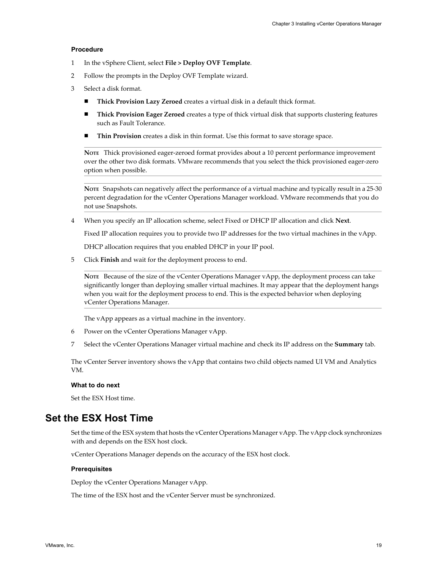#### <span id="page-18-0"></span>**Procedure**

- 1 In the vSphere Client, select **File > Deploy OVF Template**.
- 2 Follow the prompts in the Deploy OVF Template wizard.
- 3 Select a disk format.
	- Thick Provision Lazy Zeroed creates a virtual disk in a default thick format.
	- n **Thick Provision Eager Zeroed** creates a type of thick virtual disk that supports clustering features such as Fault Tolerance.
	- **Thin Provision** creates a disk in thin format. Use this format to save storage space.

**NOTE** Thick provisioned eager-zeroed format provides about a 10 percent performance improvement over the other two disk formats. VMware recommends that you select the thick provisioned eager-zero option when possible.

**NOTE** Snapshots can negatively affect the performance of a virtual machine and typically result in a 25-30 percent degradation for the vCenter Operations Manager workload. VMware recommends that you do not use Snapshots.

4 When you specify an IP allocation scheme, select Fixed or DHCP IP allocation and click **Next**.

Fixed IP allocation requires you to provide two IP addresses for the two virtual machines in the vApp.

DHCP allocation requires that you enabled DHCP in your IP pool.

5 Click **Finish** and wait for the deployment process to end.

**NOTE** Because of the size of the vCenter Operations Manager vApp, the deployment process can take significantly longer than deploying smaller virtual machines. It may appear that the deployment hangs when you wait for the deployment process to end. This is the expected behavior when deploying vCenter Operations Manager.

The vApp appears as a virtual machine in the inventory.

- 6 Power on the vCenter Operations Manager vApp.
- 7 Select the vCenter Operations Manager virtual machine and check its IP address on the **Summary** tab.

The vCenter Server inventory shows the vApp that contains two child objects named UI VM and Analytics VM.

#### **What to do next**

Set the ESX Host time.

## **Set the ESX Host Time**

Set the time of the ESX system that hosts the vCenter Operations Manager vApp. The vApp clock synchronizes with and depends on the ESX host clock.

vCenter Operations Manager depends on the accuracy of the ESX host clock.

#### **Prerequisites**

Deploy the vCenter Operations Manager vApp.

The time of the ESX host and the vCenter Server must be synchronized.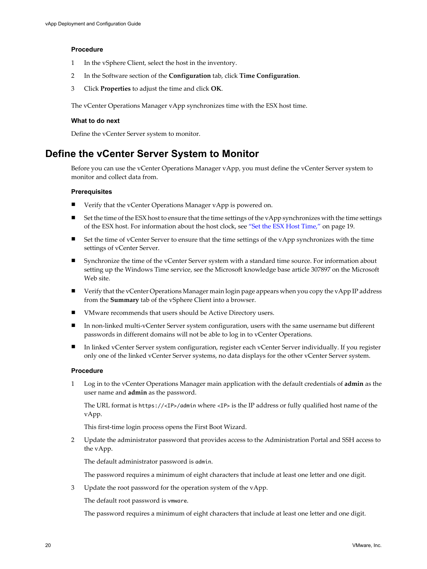#### <span id="page-19-0"></span>**Procedure**

- 1 In the vSphere Client, select the host in the inventory.
- 2 In the Software section of the **Configuration** tab, click **Time Configuration**.
- 3 Click **Properties** to adjust the time and click **OK**.

The vCenter Operations Manager vApp synchronizes time with the ESX host time.

#### **What to do next**

Define the vCenter Server system to monitor.

## **Define the vCenter Server System to Monitor**

Before you can use the vCenter Operations Manager vApp, you must define the vCenter Server system to monitor and collect data from.

#### **Prerequisites**

- Verify that the vCenter Operations Manager vApp is powered on.
- Set the time of the ESX host to ensure that the time settings of the vApp synchronizes with the time settings of the ESX host. For information about the host clock, see ["Set the ESX Host Time," on page 19](#page-18-0).
- Set the time of vCenter Server to ensure that the time settings of the vApp synchronizes with the time settings of vCenter Server.
- Synchronize the time of the vCenter Server system with a standard time source. For information about setting up the Windows Time service, see the Microsoft knowledge base article 307897 on the Microsoft Web site.
- **n** Verify that the vCenter Operations Manager main login page appears when you copy the vApp IP address from the **Summary** tab of the vSphere Client into a browser.
- VMware recommends that users should be Active Directory users.
- In non-linked multi-vCenter Server system configuration, users with the same username but different passwords in different domains will not be able to log in to vCenter Operations.
- n In linked vCenter Server system configuration, register each vCenter Server individually. If you register only one of the linked vCenter Server systems, no data displays for the other vCenter Server system.

#### **Procedure**

1 Log in to the vCenter Operations Manager main application with the default credentials of **admin** as the user name and **admin** as the password.

The URL format is https://<IP>/admin where <IP> is the IP address or fully qualified host name of the vApp.

This first-time login process opens the First Boot Wizard.

2 Update the administrator password that provides access to the Administration Portal and SSH access to the vApp.

The default administrator password is admin.

The password requires a minimum of eight characters that include at least one letter and one digit.

3 Update the root password for the operation system of the vApp.

The default root password is vmware.

The password requires a minimum of eight characters that include at least one letter and one digit.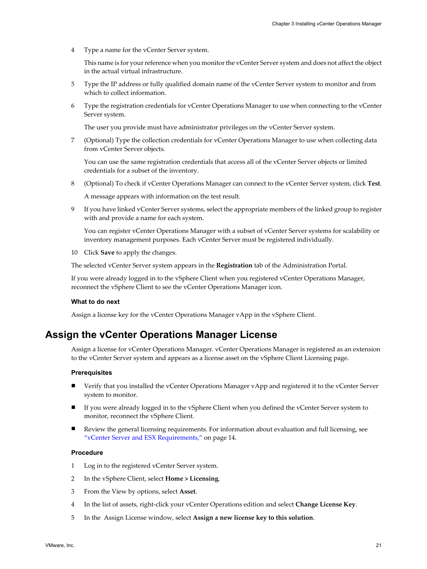<span id="page-20-0"></span>4 Type a name for the vCenter Server system.

This name is for your reference when you monitor the vCenter Server system and does not affect the object in the actual virtual infrastructure.

- 5 Type the IP address or fully qualified domain name of the vCenter Server system to monitor and from which to collect information.
- 6 Type the registration credentials for vCenter Operations Manager to use when connecting to the vCenter Server system.

The user you provide must have administrator privileges on the vCenter Server system.

7 (Optional) Type the collection credentials for vCenter Operations Manager to use when collecting data from vCenter Server objects.

You can use the same registration credentials that access all of the vCenter Server objects or limited credentials for a subset of the inventory.

8 (Optional) To check if vCenter Operations Manager can connect to the vCenter Server system, click **Test**.

A message appears with information on the test result.

9 If you have linked vCenter Server systems, select the appropriate members of the linked group to register with and provide a name for each system.

You can register vCenter Operations Manager with a subset of vCenter Server systems for scalability or inventory management purposes. Each vCenter Server must be registered individually.

10 Click **Save** to apply the changes.

The selected vCenter Server system appears in the **Registration** tab of the Administration Portal.

If you were already logged in to the vSphere Client when you registered vCenter Operations Manager, reconnect the vSphere Client to see the vCenter Operations Manager icon.

#### **What to do next**

Assign a license key for the vCenter Operations Manager vApp in the vSphere Client.

## **Assign the vCenter Operations Manager License**

Assign a license for vCenter Operations Manager. vCenter Operations Manager is registered as an extension to the vCenter Server system and appears as a license asset on the vSphere Client Licensing page.

#### **Prerequisites**

- Verify that you installed the vCenter Operations Manager vApp and registered it to the vCenter Server system to monitor.
- If you were already logged in to the vSphere Client when you defined the vCenter Server system to monitor, reconnect the vSphere Client.
- Review the general licensing requirements. For information about evaluation and full licensing, see ["vCenter Server and ESX Requirements," on page 14.](#page-13-0)

#### **Procedure**

- 1 Log in to the registered vCenter Server system.
- 2 In the vSphere Client, select **Home > Licensing**.
- 3 From the View by options, select **Asset**.
- 4 In the list of assets, right-click your vCenter Operations edition and select **Change License Key**.
- 5 In the Assign License window, select **Assign a new license key to this solution**.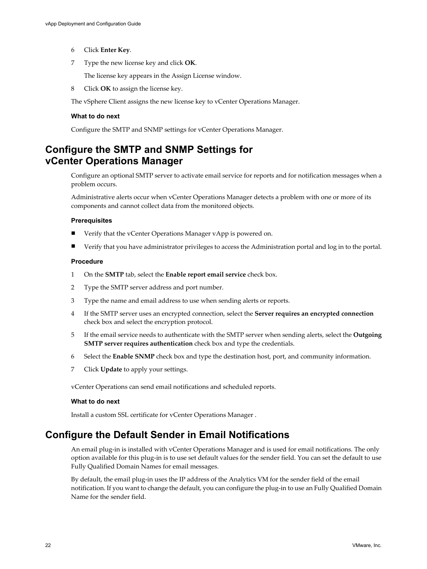- <span id="page-21-0"></span>6 Click **Enter Key**.
- 7 Type the new license key and click **OK**.

The license key appears in the Assign License window.

8 Click **OK** to assign the license key.

The vSphere Client assigns the new license key to vCenter Operations Manager.

#### **What to do next**

Configure the SMTP and SNMP settings for vCenter Operations Manager.

## **Configure the SMTP and SNMP Settings for vCenter Operations Manager**

Configure an optional SMTP server to activate email service for reports and for notification messages when a problem occurs.

Administrative alerts occur when vCenter Operations Manager detects a problem with one or more of its components and cannot collect data from the monitored objects.

#### **Prerequisites**

- Verify that the vCenter Operations Manager vApp is powered on.
- n Verify that you have administrator privileges to access the Administration portal and log in to the portal.

#### **Procedure**

- 1 On the **SMTP** tab, select the **Enable report email service** check box.
- 2 Type the SMTP server address and port number.
- 3 Type the name and email address to use when sending alerts or reports.
- 4 If the SMTP server uses an encrypted connection, select the **Server requires an encrypted connection** check box and select the encryption protocol.
- 5 If the email service needs to authenticate with the SMTP server when sending alerts, select the **Outgoing SMTP server requires authentication** check box and type the credentials.
- 6 Select the **Enable SNMP** check box and type the destination host, port, and community information.
- 7 Click **Update** to apply your settings.

vCenter Operations can send email notifications and scheduled reports.

#### **What to do next**

Install a custom SSL certificate for vCenter Operations Manager .

## **Configure the Default Sender in Email Notifications**

An email plug-in is installed with vCenter Operations Manager and is used for email notifications. The only option available for this plug-in is to use set default values for the sender field. You can set the default to use Fully Qualified Domain Names for email messages.

By default, the email plug-in uses the IP address of the Analytics VM for the sender field of the email notification. If you want to change the default, you can configure the plug-in to use an Fully Qualified Domain Name for the sender field.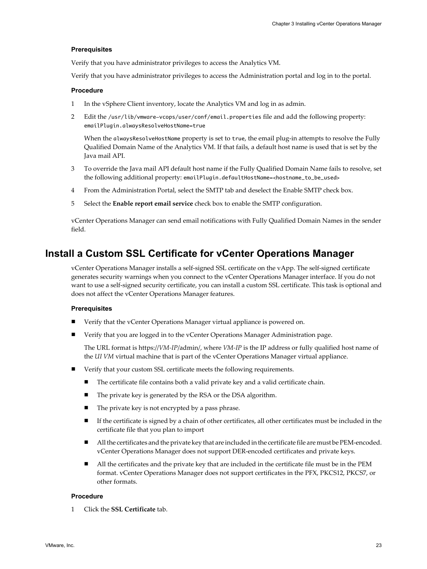#### <span id="page-22-0"></span>**Prerequisites**

Verify that you have administrator privileges to access the Analytics VM.

Verify that you have administrator privileges to access the Administration portal and log in to the portal.

#### **Procedure**

- 1 In the vSphere Client inventory, locate the Analytics VM and log in as admin.
- 2 Edit the /usr/lib/vmware-vcops/user/conf/email.properties file and add the following property: emailPlugin.alwaysResolveHostName=true

When the alwaysResolveHostName property is set to true, the email plug-in attempts to resolve the Fully Qualified Domain Name of the Analytics VM. If that fails, a default host name is used that is set by the Java mail API.

- 3 To override the Java mail API default host name if the Fully Qualified Domain Name fails to resolve, set the following additional property: emailPlugin.defaultHostName=<hostname\_to\_be\_used>
- 4 From the Administration Portal, select the SMTP tab and deselect the Enable SMTP check box.
- 5 Select the **Enable report email service** check box to enable the SMTP configuration.

vCenter Operations Manager can send email notifications with Fully Qualified Domain Names in the sender field.

## **Install a Custom SSL Certificate for vCenter Operations Manager**

vCenter Operations Manager installs a self-signed SSL certificate on the vApp. The self-signed certificate generates security warnings when you connect to the vCenter Operations Manager interface. If you do not want to use a self-signed security certificate, you can install a custom SSL certificate. This task is optional and does not affect the vCenter Operations Manager features.

#### **Prerequisites**

- Verify that the vCenter Operations Manager virtual appliance is powered on.
- Verify that you are logged in to the vCenter Operations Manager Administration page.

The URL format is https://*VM-IP*/admin/, where *VM-IP* is the IP address or fully qualified host name of the *UI VM* virtual machine that is part of the vCenter Operations Manager virtual appliance.

- Verify that your custom SSL certificate meets the following requirements.
	- The certificate file contains both a valid private key and a valid certificate chain.
	- The private key is generated by the RSA or the DSA algorithm.
	- The private key is not encrypted by a pass phrase.
	- If the certificate is signed by a chain of other certificates, all other certificates must be included in the certificate file that you plan to import
	- All the certificates and the private key that are included in the certificate file are must be PEM-encoded. vCenter Operations Manager does not support DER-encoded certificates and private keys.
	- n All the certificates and the private key that are included in the certificate file must be in the PEM format. vCenter Operations Manager does not support certificates in the PFX, PKCS12, PKCS7, or other formats.

#### **Procedure**

1 Click the **SSL Certificate** tab.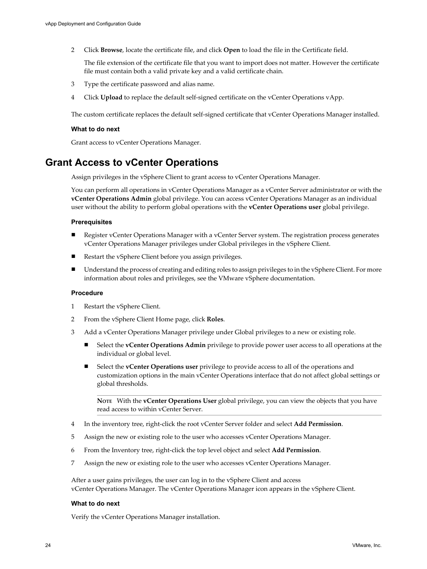<span id="page-23-0"></span>2 Click **Browse**, locate the certificate file, and click **Open** to load the file in the Certificate field.

The file extension of the certificate file that you want to import does not matter. However the certificate file must contain both a valid private key and a valid certificate chain.

- 3 Type the certificate password and alias name.
- 4 Click **Upload** to replace the default self-signed certificate on the vCenter Operations vApp.

The custom certificate replaces the default self-signed certificate that vCenter Operations Manager installed.

#### **What to do next**

Grant access to vCenter Operations Manager.

## **Grant Access to vCenter Operations**

Assign privileges in the vSphere Client to grant access to vCenter Operations Manager.

You can perform all operations in vCenter Operations Manager as a vCenter Server administrator or with the **vCenter Operations Admin** global privilege. You can access vCenter Operations Manager as an individual user without the ability to perform global operations with the **vCenter Operations user** global privilege.

#### **Prerequisites**

- n Register vCenter Operations Manager with a vCenter Server system. The registration process generates vCenter Operations Manager privileges under Global privileges in the vSphere Client.
- Restart the vSphere Client before you assign privileges.
- n Understand the process of creating and editing roles to assign privileges to in the vSphere Client. For more information about roles and privileges, see the VMware vSphere documentation.

#### **Procedure**

- 1 Restart the vSphere Client.
- 2 From the vSphere Client Home page, click **Roles**.
- 3 Add a vCenter Operations Manager privilege under Global privileges to a new or existing role.
	- Select the **vCenter Operations Admin** privilege to provide power user access to all operations at the individual or global level.
	- n Select the **vCenter Operations user** privilege to provide access to all of the operations and customization options in the main vCenter Operations interface that do not affect global settings or global thresholds.

**NOTE** With the **vCenter Operations User** global privilege, you can view the objects that you have read access to within vCenter Server.

- 4 In the inventory tree, right-click the root vCenter Server folder and select **Add Permission**.
- 5 Assign the new or existing role to the user who accesses vCenter Operations Manager.
- 6 From the Inventory tree, right-click the top level object and select **Add Permission**.
- 7 Assign the new or existing role to the user who accesses vCenter Operations Manager.

After a user gains privileges, the user can log in to the vSphere Client and access vCenter Operations Manager. The vCenter Operations Manager icon appears in the vSphere Client.

#### **What to do next**

Verify the vCenter Operations Manager installation.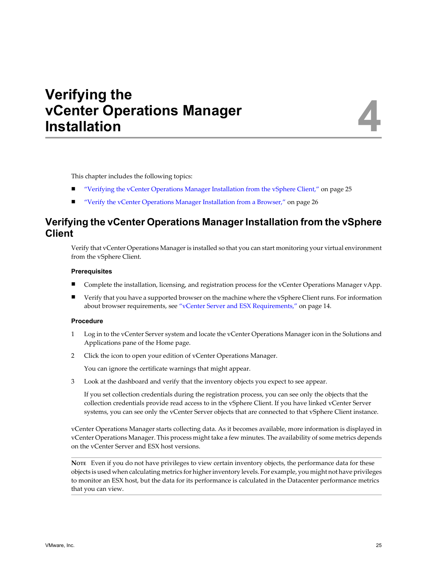## <span id="page-24-0"></span>**Verifying the vCenter Operations Manager Installation**<br>Installation<br>Installation

This chapter includes the following topics:

- n "Verifying the vCenter Operations Manager Installation from the vSphere Client," on page 25
- ["Verify the vCenter Operations Manager Installation from a Browser," on page 26](#page-25-0)

## **Verifying the vCenter Operations Manager Installation from the vSphere Client**

Verify that vCenter Operations Manager is installed so that you can start monitoring your virtual environment from the vSphere Client.

#### **Prerequisites**

- Complete the installation, licensing, and registration process for the vCenter Operations Manager vApp.
- n Verify that you have a supported browser on the machine where the vSphere Client runs. For information about browser requirements, see ["vCenter Server and ESX Requirements," on page 14.](#page-13-0)

#### **Procedure**

- 1 Log in to the vCenter Server system and locate the vCenter Operations Manager icon in the Solutions and Applications pane of the Home page.
- 2 Click the icon to open your edition of vCenter Operations Manager.

You can ignore the certificate warnings that might appear.

3 Look at the dashboard and verify that the inventory objects you expect to see appear.

If you set collection credentials during the registration process, you can see only the objects that the collection credentials provide read access to in the vSphere Client. If you have linked vCenter Server systems, you can see only the vCenter Server objects that are connected to that vSphere Client instance.

vCenter Operations Manager starts collecting data. As it becomes available, more information is displayed in vCenter Operations Manager. This process might take a few minutes. The availability of some metrics depends on the vCenter Server and ESX host versions.

**NOTE** Even if you do not have privileges to view certain inventory objects, the performance data for these objects is used when calculating metrics for higher inventory levels. For example, you might not have privileges to monitor an ESX host, but the data for its performance is calculated in the Datacenter performance metrics that you can view.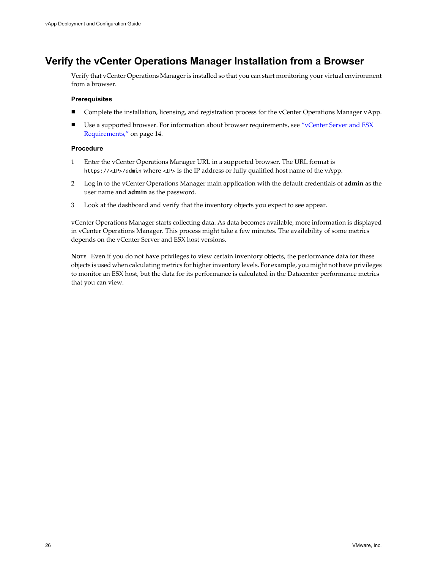## <span id="page-25-0"></span>**Verify the vCenter Operations Manager Installation from a Browser**

Verify that vCenter Operations Manager is installed so that you can start monitoring your virtual environment from a browser.

#### **Prerequisites**

- Complete the installation, licensing, and registration process for the vCenter Operations Manager vApp.
- Use a supported browser. For information about browser requirements, see ["vCenter Server and ESX](#page-13-0) [Requirements," on page 14](#page-13-0).

#### **Procedure**

- 1 Enter the vCenter Operations Manager URL in a supported browser. The URL format is https://<IP>/admin where <IP> is the IP address or fully qualified host name of the vApp.
- 2 Log in to the vCenter Operations Manager main application with the default credentials of **admin** as the user name and **admin** as the password.
- 3 Look at the dashboard and verify that the inventory objects you expect to see appear.

vCenter Operations Manager starts collecting data. As data becomes available, more information is displayed in vCenter Operations Manager. This process might take a few minutes. The availability of some metrics depends on the vCenter Server and ESX host versions.

**NOTE** Even if you do not have privileges to view certain inventory objects, the performance data for these objects is used when calculating metrics for higher inventory levels. For example, you might not have privileges to monitor an ESX host, but the data for its performance is calculated in the Datacenter performance metrics that you can view.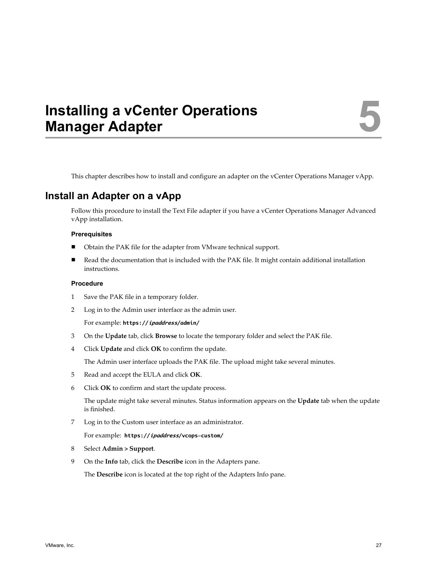## <span id="page-26-0"></span>**Installing a vCenter Operations Installing a vCenter Operations**<br>Manager Adapter

This chapter describes how to install and configure an adapter on the vCenter Operations Manager vApp.

## **Install an Adapter on a vApp**

Follow this procedure to install the Text File adapter if you have a vCenter Operations Manager Advanced vApp installation.

#### **Prerequisites**

- Obtain the PAK file for the adapter from VMware technical support.
- Read the documentation that is included with the PAK file. It might contain additional installation instructions.

#### **Procedure**

- 1 Save the PAK file in a temporary folder.
- 2 Log in to the Admin user interface as the admin user.

For example: **https://ipaddress/admin/**

- 3 On the **Update** tab, click **Browse** to locate the temporary folder and select the PAK file.
- 4 Click **Update** and click **OK** to confirm the update.

The Admin user interface uploads the PAK file. The upload might take several minutes.

- 5 Read and accept the EULA and click **OK**.
- 6 Click **OK** to confirm and start the update process.

The update might take several minutes. Status information appears on the **Update** tab when the update is finished.

7 Log in to the Custom user interface as an administrator.

For example: **https://ipaddress/vcops-custom/**

- 8 Select **Admin > Support**.
- 9 On the **Info** tab, click the **Describe** icon in the Adapters pane.

The **Describe** icon is located at the top right of the Adapters Info pane.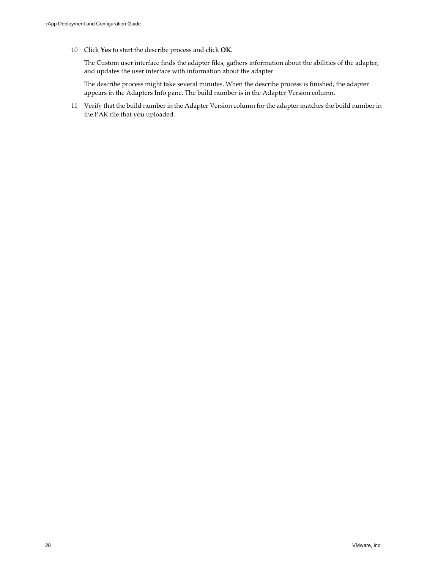10 Click **Yes** to start the describe process and click **OK**.

The Custom user interface finds the adapter files, gathers information about the abilities of the adapter, and updates the user interface with information about the adapter.

The describe process might take several minutes. When the describe process is finished, the adapter appears in the Adapters Info pane. The build number is in the Adapter Version column.

11 Verify that the build number in the Adapter Version column for the adapter matches the build number in the PAK file that you uploaded.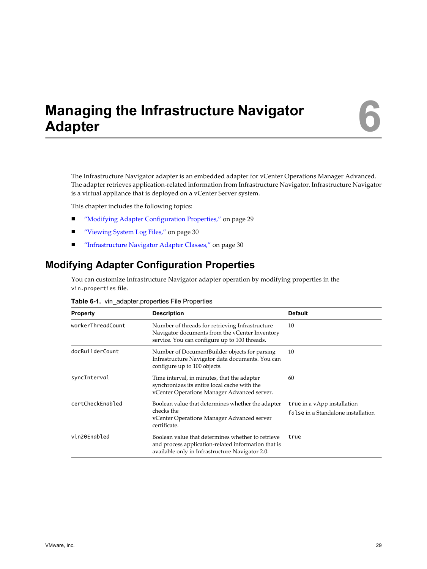## <span id="page-28-0"></span>**Managing the Infrastructure Navigator** Managing the Infrastructure Navigator<br>Adapter

The Infrastructure Navigator adapter is an embedded adapter for vCenter Operations Manager Advanced. The adapter retrieves application-related information from Infrastructure Navigator. Infrastructure Navigator is a virtual appliance that is deployed on a vCenter Server system.

This chapter includes the following topics:

- "Modifying Adapter Configuration Properties," on page 29
- ["Viewing System Log Files," on page 30](#page-29-0)
- **n** ["Infrastructure Navigator Adapter Classes," on page 30](#page-29-0)

## **Modifying Adapter Configuration Properties**

You can customize Infrastructure Navigator adapter operation by modifying properties in the vin.properties file.

| <b>Description</b><br><b>Property</b>                                                                                                                                   |                                                                                                                                                             | <b>Default</b>                                                    |  |  |
|-------------------------------------------------------------------------------------------------------------------------------------------------------------------------|-------------------------------------------------------------------------------------------------------------------------------------------------------------|-------------------------------------------------------------------|--|--|
| workerThreadCount<br>Number of threads for retrieving Infrastructure<br>Navigator documents from the vCenter Inventory<br>service. You can configure up to 100 threads. |                                                                                                                                                             | 10                                                                |  |  |
| docBuilderCount                                                                                                                                                         | Number of DocumentBuilder objects for parsing<br>Infrastructure Navigator data documents. You can<br>configure up to 100 objects.                           | 10                                                                |  |  |
| syncInterval                                                                                                                                                            | Time interval, in minutes, that the adapter<br>synchronizes its entire local cache with the<br>vCenter Operations Manager Advanced server.                  | 60                                                                |  |  |
| certCheckEnabled                                                                                                                                                        | Boolean value that determines whether the adapter<br>checks the<br>vCenter Operations Manager Advanced server<br>certificate.                               | true in a vApp installation<br>false in a Standalone installation |  |  |
| vin20Enabled                                                                                                                                                            | Boolean value that determines whether to retrieve<br>and process application-related information that is<br>available only in Infrastructure Navigator 2.0. | true                                                              |  |  |

**Table 6-1.** vin\_adapter.properties File Properties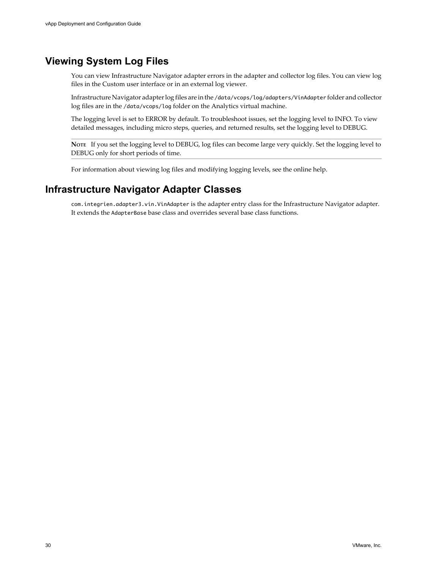## <span id="page-29-0"></span>**Viewing System Log Files**

You can view Infrastructure Navigator adapter errors in the adapter and collector log files. You can view log files in the Custom user interface or in an external log viewer.

Infrastructure Navigator adapter log files are in the /data/vcops/log/adapters/VinAdapter folder and collector log files are in the /data/vcops/log folder on the Analytics virtual machine.

The logging level is set to ERROR by default. To troubleshoot issues, set the logging level to INFO. To view detailed messages, including micro steps, queries, and returned results, set the logging level to DEBUG.

**NOTE** If you set the logging level to DEBUG, log files can become large very quickly. Set the logging level to DEBUG only for short periods of time.

For information about viewing log files and modifying logging levels, see the online help.

## **Infrastructure Navigator Adapter Classes**

com.integrien.adapter3.vin.VinAdapter is the adapter entry class for the Infrastructure Navigator adapter. It extends the AdapterBase base class and overrides several base class functions.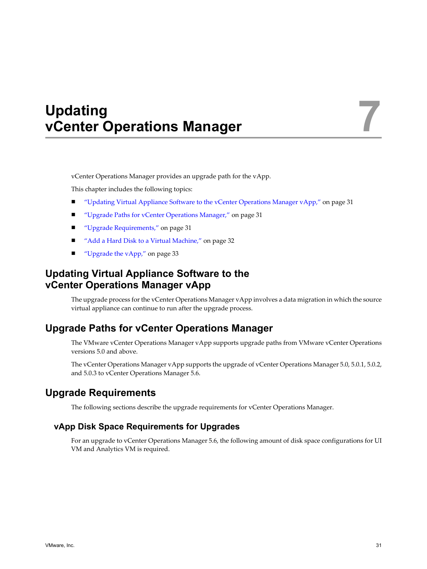## <span id="page-30-0"></span>**Updating vCenter Operations Manager 7**

vCenter Operations Manager provides an upgrade path for the vApp.

This chapter includes the following topics:

- "Updating Virtual Appliance Software to the vCenter Operations Manager vApp," on page 31
- "Upgrade Paths for vCenter Operations Manager," on page 31
- n "Upgrade Requirements," on page 31
- ["Add a Hard Disk to a Virtual Machine," on page 32](#page-31-0)
- $\blacksquare$  ["Upgrade the vApp," on page 33](#page-32-0)

## **Updating Virtual Appliance Software to the vCenter Operations Manager vApp**

The upgrade process for the vCenter Operations Manager vApp involves a data migration in which the source virtual appliance can continue to run after the upgrade process.

## **Upgrade Paths for vCenter Operations Manager**

The VMware vCenter Operations Manager vApp supports upgrade paths from VMware vCenter Operations versions 5.0 and above.

The vCenter Operations Manager vApp supports the upgrade of vCenter Operations Manager 5.0, 5.0.1, 5.0.2, and 5.0.3 to vCenter Operations Manager 5.6.

## **Upgrade Requirements**

The following sections describe the upgrade requirements for vCenter Operations Manager.

### **vApp Disk Space Requirements for Upgrades**

For an upgrade to vCenter Operations Manager 5.6, the following amount of disk space configurations for UI VM and Analytics VM is required.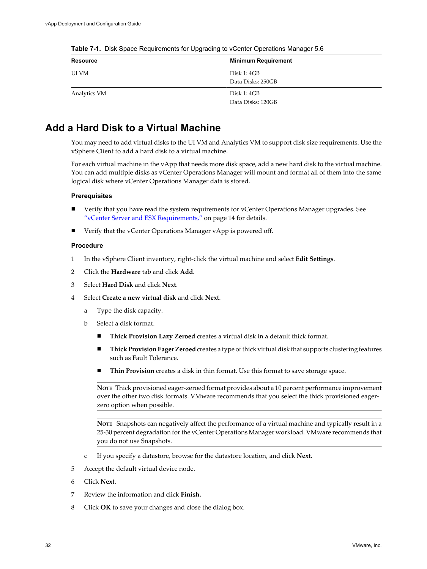| <b>Resource</b> | <b>Minimum Requirement</b>       |  |
|-----------------|----------------------------------|--|
| UI VM           | Disk 1: 4GB<br>Data Disks: 250GB |  |
| Analytics VM    | Disk 1:4GB<br>Data Disks: 120GB  |  |

<span id="page-31-0"></span>

|  | <b>Table 7-1.</b> Disk Space Requirements for Upgrading to vCenter Operations Manager 5.6 |  |  |
|--|-------------------------------------------------------------------------------------------|--|--|
|  |                                                                                           |  |  |

## **Add a Hard Disk to a Virtual Machine**

You may need to add virtual disks to the UI VM and Analytics VM to support disk size requirements. Use the vSphere Client to add a hard disk to a virtual machine.

For each virtual machine in the vApp that needs more disk space, add a new hard disk to the virtual machine. You can add multiple disks as vCenter Operations Manager will mount and format all of them into the same logical disk where vCenter Operations Manager data is stored.

#### **Prerequisites**

- n Verify that you have read the system requirements for vCenter Operations Manager upgrades. See ["vCenter Server and ESX Requirements," on page 14](#page-13-0) for details.
- Verify that the vCenter Operations Manager vApp is powered off.

#### **Procedure**

- 1 In the vSphere Client inventory, right-click the virtual machine and select **Edit Settings**.
- 2 Click the **Hardware** tab and click **Add**.
- 3 Select **Hard Disk** and click **Next**.
- 4 Select **Create a new virtual disk** and click **Next**.
	- a Type the disk capacity.
	- b Select a disk format.
		- Thick Provision Lazy Zeroed creates a virtual disk in a default thick format.
		- **n Thick Provision Eager Zeroed** creates a type of thick virtual disk that supports clustering features such as Fault Tolerance.
		- Thin Provision creates a disk in thin format. Use this format to save storage space.

**NOTE** Thick provisioned eager-zeroed format provides about a 10 percent performance improvement over the other two disk formats. VMware recommends that you select the thick provisioned eagerzero option when possible.

**NOTE** Snapshots can negatively affect the performance of a virtual machine and typically result in a 25-30 percent degradation for the vCenter Operations Manager workload. VMware recommends that you do not use Snapshots.

- c If you specify a datastore, browse for the datastore location, and click **Next**.
- 5 Accept the default virtual device node.
- 6 Click **Next**.
- 7 Review the information and click **Finish.**
- 8 Click **OK** to save your changes and close the dialog box.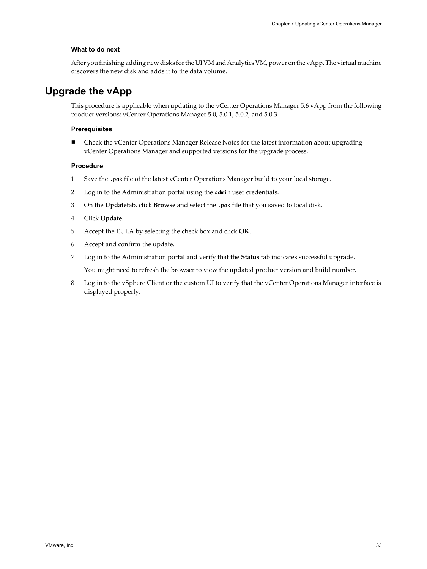#### <span id="page-32-0"></span>**What to do next**

After you finishing adding new disks for the UI VM and Analytics VM, power on the vApp. The virtual machine discovers the new disk and adds it to the data volume.

## **Upgrade the vApp**

This procedure is applicable when updating to the vCenter Operations Manager 5.6 vApp from the following product versions: vCenter Operations Manager 5.0, 5.0.1, 5.0.2, and 5.0.3.

#### **Prerequisites**

n Check the vCenter Operations Manager Release Notes for the latest information about upgrading vCenter Operations Manager and supported versions for the upgrade process.

#### **Procedure**

- 1 Save the .pak file of the latest vCenter Operations Manager build to your local storage.
- 2 Log in to the Administration portal using the admin user credentials.
- 3 On the **Update**tab, click **Browse** and select the .pak file that you saved to local disk.
- 4 Click **Update.**
- 5 Accept the EULA by selecting the check box and click **OK**.
- 6 Accept and confirm the update.
- 7 Log in to the Administration portal and verify that the **Status** tab indicates successful upgrade.

You might need to refresh the browser to view the updated product version and build number.

8 Log in to the vSphere Client or the custom UI to verify that the vCenter Operations Manager interface is displayed properly.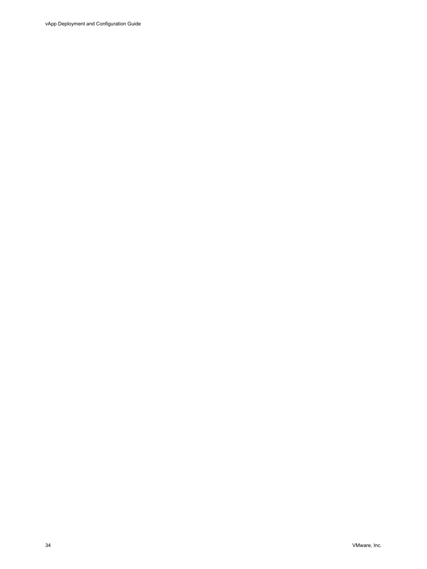vApp Deployment and Configuration Guide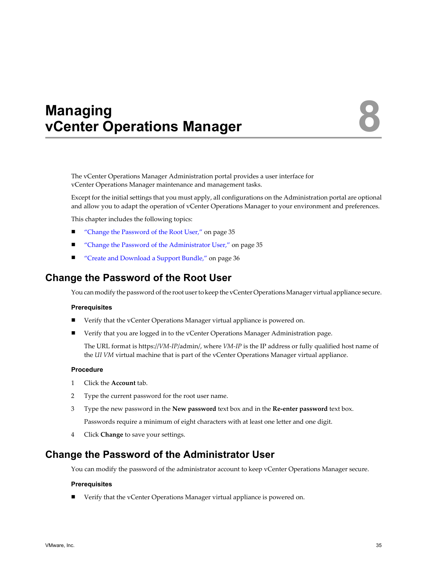## <span id="page-34-0"></span>**Managing vCenter Operations Manager 8**

The vCenter Operations Manager Administration portal provides a user interface for vCenter Operations Manager maintenance and management tasks.

Except for the initial settings that you must apply, all configurations on the Administration portal are optional and allow you to adapt the operation of vCenter Operations Manager to your environment and preferences.

This chapter includes the following topics:

- "Change the Password of the Root User," on page 35
- "Change the Password of the Administrator User," on page 35
- ["Create and Download a Support Bundle," on page 36](#page-35-0)

## **Change the Password of the Root User**

You can modify the password of the root user to keep the vCenter Operations Manager virtual appliance secure.

#### **Prerequisites**

- Verify that the vCenter Operations Manager virtual appliance is powered on.
- **n** Verify that you are logged in to the vCenter Operations Manager Administration page.

The URL format is https://*VM-IP*/admin/, where *VM-IP* is the IP address or fully qualified host name of the *UI VM* virtual machine that is part of the vCenter Operations Manager virtual appliance.

#### **Procedure**

- 1 Click the **Account** tab.
- 2 Type the current password for the root user name.
- 3 Type the new password in the **New password** text box and in the **Re-enter password** text box.

Passwords require a minimum of eight characters with at least one letter and one digit.

4 Click **Change** to save your settings.

## **Change the Password of the Administrator User**

You can modify the password of the administrator account to keep vCenter Operations Manager secure.

#### **Prerequisites**

Verify that the vCenter Operations Manager virtual appliance is powered on.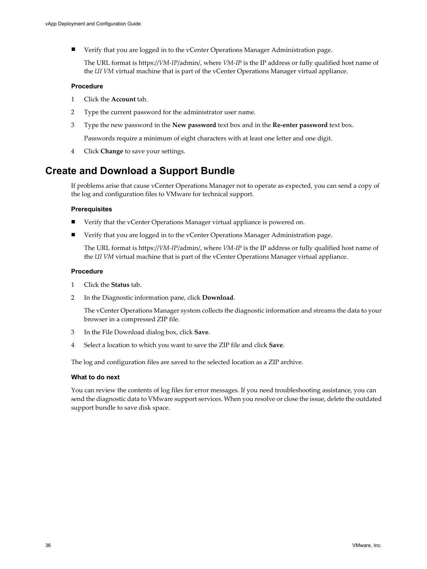<span id="page-35-0"></span>**n** Verify that you are logged in to the vCenter Operations Manager Administration page.

The URL format is https://*VM-IP*/admin/, where *VM-IP* is the IP address or fully qualified host name of the *UI VM* virtual machine that is part of the vCenter Operations Manager virtual appliance.

#### **Procedure**

- 1 Click the **Account** tab.
- 2 Type the current password for the administrator user name.
- 3 Type the new password in the **New password** text box and in the **Re-enter password** text box.

Passwords require a minimum of eight characters with at least one letter and one digit.

4 Click **Change** to save your settings.

## **Create and Download a Support Bundle**

If problems arise that cause vCenter Operations Manager not to operate as expected, you can send a copy of the log and configuration files to VMware for technical support.

#### **Prerequisites**

- Verify that the vCenter Operations Manager virtual appliance is powered on.
- Verify that you are logged in to the vCenter Operations Manager Administration page.

The URL format is https://*VM-IP*/admin/, where *VM-IP* is the IP address or fully qualified host name of the *UI VM* virtual machine that is part of the vCenter Operations Manager virtual appliance.

#### **Procedure**

- 1 Click the **Status** tab.
- 2 In the Diagnostic information pane, click **Download**.

The vCenter Operations Manager system collects the diagnostic information and streams the data to your browser in a compressed ZIP file.

- 3 In the File Download dialog box, click **Save**.
- 4 Select a location to which you want to save the ZIP file and click **Save**.

The log and configuration files are saved to the selected location as a ZIP archive.

#### **What to do next**

You can review the contents of log files for error messages. If you need troubleshooting assistance, you can send the diagnostic data to VMware support services. When you resolve or close the issue, delete the outdated support bundle to save disk space.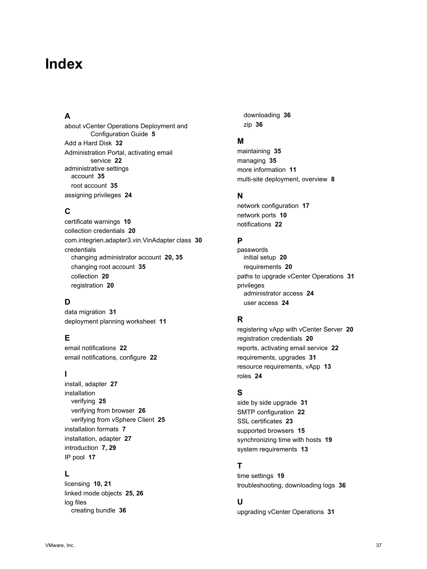## <span id="page-36-0"></span>**Index**

## **A**

about vCenter Operations Deployment and Configuration Guide **[5](#page-4-0)** Add a Hard Disk **[32](#page-31-0)** Administration Portal, activating email service **[22](#page-21-0)** administrative settings account **[35](#page-34-0)** root account **[35](#page-34-0)** assigning privileges **[24](#page-23-0)**

## **C**

certificate warnings **[10](#page-9-0)** collection credentials **[20](#page-19-0)** com.integrien.adapter3.vin.VinAdapter class **[30](#page-29-0)** credentials changing administrator account **[20](#page-19-0), [35](#page-34-0)** changing root account **[35](#page-34-0)** collection **[20](#page-19-0)** registration **[20](#page-19-0)**

## **D**

data migration **[31](#page-30-0)** deployment planning worksheet **[11](#page-10-0)**

## **E**

email notifications **[22](#page-21-0)** email notifications, configure **[22](#page-21-0)**

## **I**

install, adapter **[27](#page-26-0)** installation verifying **[25](#page-24-0)** verifying from browser **[26](#page-25-0)** verifying from vSphere Client **[25](#page-24-0)** installation formats **[7](#page-6-0)** installation, adapter **[27](#page-26-0)** introduction **[7,](#page-6-0) [29](#page-28-0)** IP pool **[17](#page-16-0)**

## **L**

licensing **[10](#page-9-0), [21](#page-20-0)** linked mode objects **[25,](#page-24-0) [26](#page-25-0)** log files creating bundle **[36](#page-35-0)**

downloading **[36](#page-35-0)** zip **[36](#page-35-0)**

## **M**

maintaining **[35](#page-34-0)** managing **[35](#page-34-0)** more information **[11](#page-10-0)** multi-site deployment, overview **[8](#page-7-0)**

### **N**

network configuration **[17](#page-16-0)** network ports **[10](#page-9-0)** notifications **[22](#page-21-0)**

### **P**

passwords initial setup **[20](#page-19-0)** requirements **[20](#page-19-0)** paths to upgrade vCenter Operations **[31](#page-30-0)** privileges administrator access **[24](#page-23-0)** user access **[24](#page-23-0)**

## **R**

registering vApp with vCenter Server **[20](#page-19-0)** registration credentials **[20](#page-19-0)** reports, activating email service **[22](#page-21-0)** requirements, upgrades **[31](#page-30-0)** resource requirements, vApp **[13](#page-12-0)** roles **[24](#page-23-0)**

### **S**

side by side upgrade **[31](#page-30-0)** SMTP configuration **[22](#page-21-0)** SSL certificates **[23](#page-22-0)** supported browsers **[15](#page-14-0)** synchronizing time with hosts **[19](#page-18-0)** system requirements **[13](#page-12-0)**

## **T**

time settings **[19](#page-18-0)** troubleshooting, downloading logs **[36](#page-35-0)**

## **U**

upgrading vCenter Operations **[31](#page-30-0)**